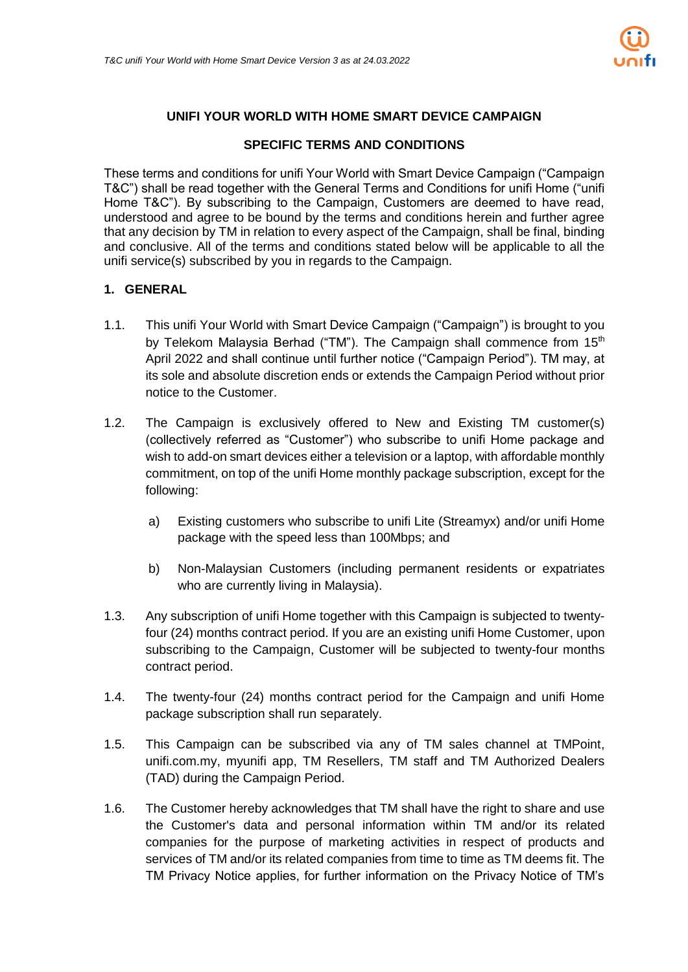

# **UNIFI YOUR WORLD WITH HOME SMART DEVICE CAMPAIGN**

#### **SPECIFIC TERMS AND CONDITIONS**

These terms and conditions for unifi Your World with Smart Device Campaign ("Campaign T&C") shall be read together with the General Terms and Conditions for unifi Home ("unifi Home T&C"). By subscribing to the Campaign, Customers are deemed to have read, understood and agree to be bound by the terms and conditions herein and further agree that any decision by TM in relation to every aspect of the Campaign, shall be final, binding and conclusive. All of the terms and conditions stated below will be applicable to all the unifi service(s) subscribed by you in regards to the Campaign.

## **1. GENERAL**

- 1.1. This unifi Your World with Smart Device Campaign ("Campaign") is brought to you by Telekom Malaysia Berhad ("TM"). The Campaign shall commence from 15<sup>th</sup> April 2022 and shall continue until further notice ("Campaign Period"). TM may, at its sole and absolute discretion ends or extends the Campaign Period without prior notice to the Customer.
- 1.2. The Campaign is exclusively offered to New and Existing TM customer(s) (collectively referred as "Customer") who subscribe to unifi Home package and wish to add-on smart devices either a television or a laptop, with affordable monthly commitment, on top of the unifi Home monthly package subscription, except for the following:
	- a) Existing customers who subscribe to unifi Lite (Streamyx) and/or unifi Home package with the speed less than 100Mbps; and
	- b) Non-Malaysian Customers (including permanent residents or expatriates who are currently living in Malaysia).
- 1.3. Any subscription of unifi Home together with this Campaign is subjected to twentyfour (24) months contract period. If you are an existing unifi Home Customer, upon subscribing to the Campaign, Customer will be subjected to twenty-four months contract period.
- 1.4. The twenty-four (24) months contract period for the Campaign and unifi Home package subscription shall run separately.
- 1.5. This Campaign can be subscribed via any of TM sales channel at TMPoint, unifi.com.my, myunifi app, TM Resellers, TM staff and TM Authorized Dealers (TAD) during the Campaign Period.
- 1.6. The Customer hereby acknowledges that TM shall have the right to share and use the Customer's data and personal information within TM and/or its related companies for the purpose of marketing activities in respect of products and services of TM and/or its related companies from time to time as TM deems fit. The TM Privacy Notice applies, for further information on the Privacy Notice of TM's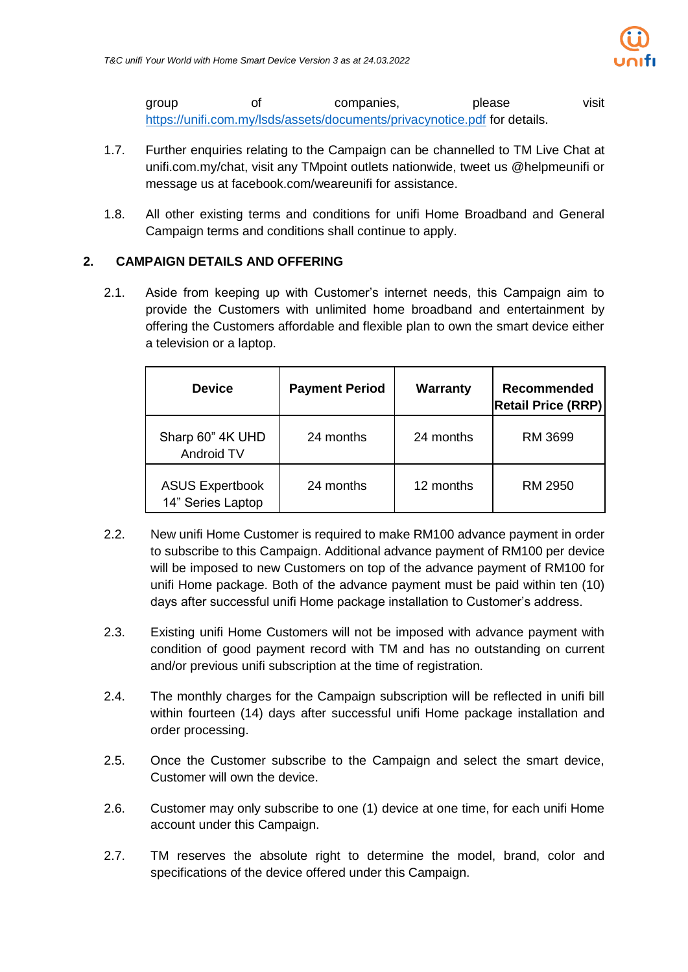

group of companies, please visit <https://unifi.com.my/lsds/assets/documents/privacynotice.pdf> for details.

- 1.7. Further enquiries relating to the Campaign can be channelled to TM Live Chat at unifi.com.my/chat, visit any TMpoint outlets nationwide, tweet us @helpmeunifi or message us at facebook.com/weareunifi for assistance.
- 1.8. All other existing terms and conditions for unifi Home Broadband and General Campaign terms and conditions shall continue to apply.

# **2. CAMPAIGN DETAILS AND OFFERING**

2.1. Aside from keeping up with Customer's internet needs, this Campaign aim to provide the Customers with unlimited home broadband and entertainment by offering the Customers affordable and flexible plan to own the smart device either a television or a laptop.

| <b>Device</b>                               | <b>Payment Period</b> | Warranty  | <b>Recommended</b><br><b>Retail Price (RRP)</b> |
|---------------------------------------------|-----------------------|-----------|-------------------------------------------------|
| Sharp 60" 4K UHD<br>Android TV              | 24 months             | 24 months | RM 3699                                         |
| <b>ASUS Expertbook</b><br>14" Series Laptop | 24 months             | 12 months | RM 2950                                         |

- 2.2. New unifi Home Customer is required to make RM100 advance payment in order to subscribe to this Campaign. Additional advance payment of RM100 per device will be imposed to new Customers on top of the advance payment of RM100 for unifi Home package. Both of the advance payment must be paid within ten (10) days after successful unifi Home package installation to Customer's address.
- 2.3. Existing unifi Home Customers will not be imposed with advance payment with condition of good payment record with TM and has no outstanding on current and/or previous unifi subscription at the time of registration.
- 2.4. The monthly charges for the Campaign subscription will be reflected in unifi bill within fourteen (14) days after successful unifi Home package installation and order processing.
- 2.5. Once the Customer subscribe to the Campaign and select the smart device, Customer will own the device.
- 2.6. Customer may only subscribe to one (1) device at one time, for each unifi Home account under this Campaign.
- 2.7. TM reserves the absolute right to determine the model, brand, color and specifications of the device offered under this Campaign.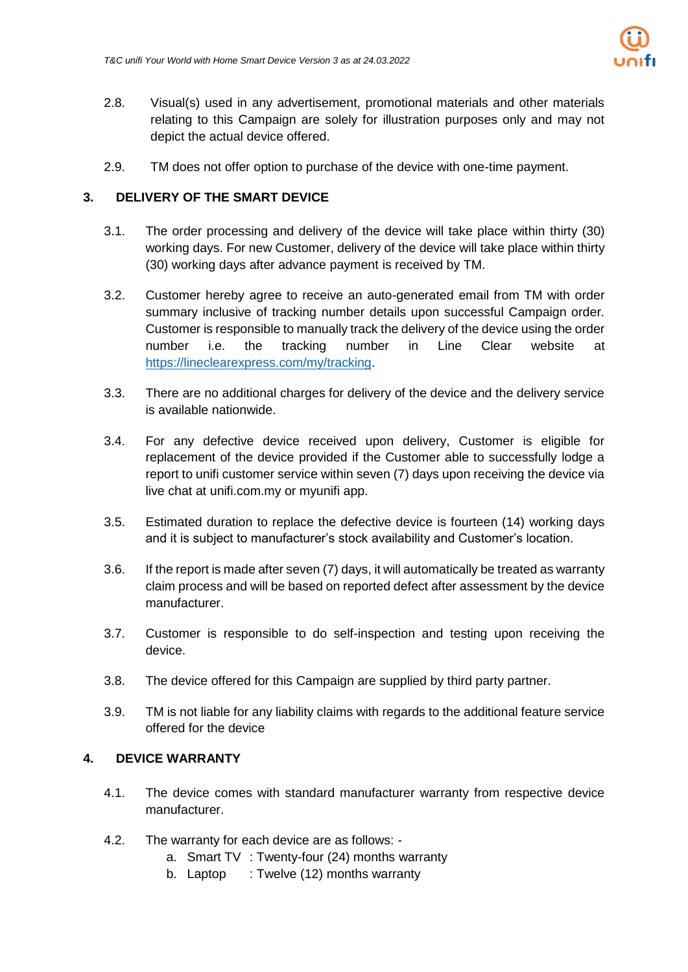

- 2.8. Visual(s) used in any advertisement, promotional materials and other materials relating to this Campaign are solely for illustration purposes only and may not depict the actual device offered.
- 2.9. TM does not offer option to purchase of the device with one-time payment.

# **3. DELIVERY OF THE SMART DEVICE**

- 3.1. The order processing and delivery of the device will take place within thirty (30) working days. For new Customer, delivery of the device will take place within thirty (30) working days after advance payment is received by TM.
- 3.2. Customer hereby agree to receive an auto-generated email from TM with order summary inclusive of tracking number details upon successful Campaign order. Customer is responsible to manually track the delivery of the device using the order number i.e. the tracking number in Line Clear website at [https://lineclearexpress.com/my/tracking.](https://lineclearexpress.com/my/tracking)
- 3.3. There are no additional charges for delivery of the device and the delivery service is available nationwide.
- 3.4. For any defective device received upon delivery, Customer is eligible for replacement of the device provided if the Customer able to successfully lodge a report to unifi customer service within seven (7) days upon receiving the device via live chat at unifi.com.my or myunifi app.
- 3.5. Estimated duration to replace the defective device is fourteen (14) working days and it is subject to manufacturer's stock availability and Customer's location.
- 3.6. If the report is made after seven (7) days, it will automatically be treated as warranty claim process and will be based on reported defect after assessment by the device manufacturer.
- 3.7. Customer is responsible to do self-inspection and testing upon receiving the device.
- 3.8. The device offered for this Campaign are supplied by third party partner.
- 3.9. TM is not liable for any liability claims with regards to the additional feature service offered for the device

## **4. DEVICE WARRANTY**

- 4.1. The device comes with standard manufacturer warranty from respective device manufacturer.
- 4.2. The warranty for each device are as follows:
	- a. Smart TV : Twenty-four (24) months warranty
	- b. Laptop : Twelve (12) months warranty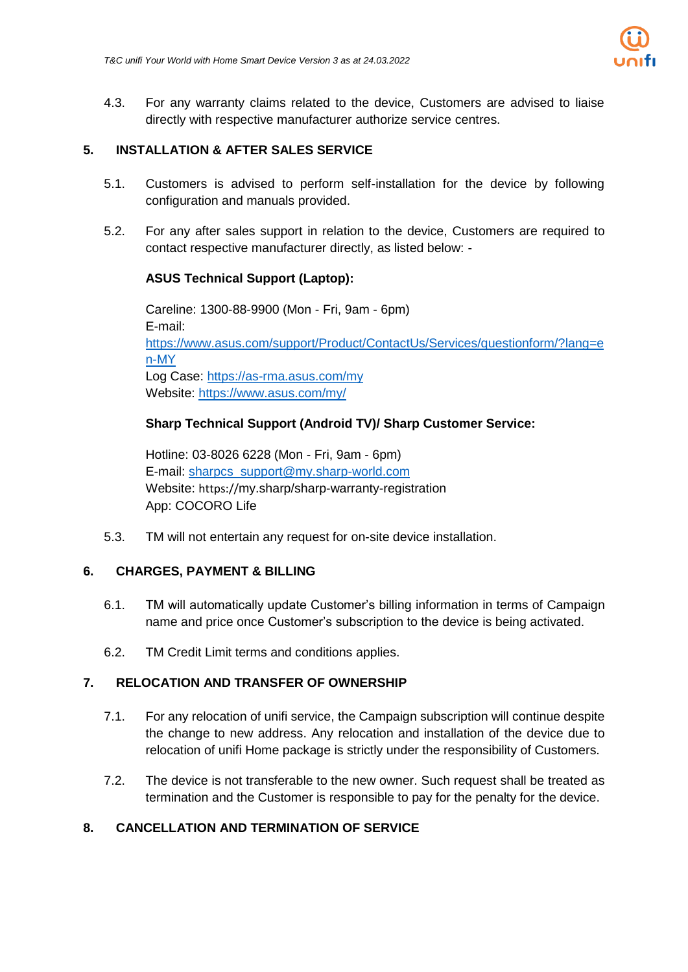

4.3. For any warranty claims related to the device, Customers are advised to liaise directly with respective manufacturer authorize service centres.

#### **5. INSTALLATION & AFTER SALES SERVICE**

- 5.1. Customers is advised to perform self-installation for the device by following configuration and manuals provided.
- 5.2. For any after sales support in relation to the device, Customers are required to contact respective manufacturer directly, as listed below: -

## **ASUS Technical Support (Laptop):**

Careline: 1300-88-9900 (Mon - Fri, 9am - 6pm) E-mail: [https://www.asus.com/support/Product/ContactUs/Services/questionform/?lang=e](https://www.asus.com/support/Product/ContactUs/Services/questionform/?lang=en-MY) [n-MY](https://www.asus.com/support/Product/ContactUs/Services/questionform/?lang=en-MY) Log Case:<https://as-rma.asus.com/my> Website:<https://www.asus.com/my/>

## **Sharp Technical Support (Android TV)/ Sharp Customer Service:**

Hotline: 03-8026 6228 (Mon - Fri, 9am - 6pm) E-mail: [sharpcs\\_support@my.sharp-world.com](mailto:sharpcs_support@my.sharp-world.com) Website: https://my.sharp/sharp-warranty-registration App: COCORO Life

5.3. TM will not entertain any request for on-site device installation.

#### **6. CHARGES, PAYMENT & BILLING**

- 6.1. TM will automatically update Customer's billing information in terms of Campaign name and price once Customer's subscription to the device is being activated.
- 6.2. TM Credit Limit terms and conditions applies.

#### **7. RELOCATION AND TRANSFER OF OWNERSHIP**

- 7.1. For any relocation of unifi service, the Campaign subscription will continue despite the change to new address. Any relocation and installation of the device due to relocation of unifi Home package is strictly under the responsibility of Customers.
- 7.2. The device is not transferable to the new owner. Such request shall be treated as termination and the Customer is responsible to pay for the penalty for the device.

## **8. CANCELLATION AND TERMINATION OF SERVICE**